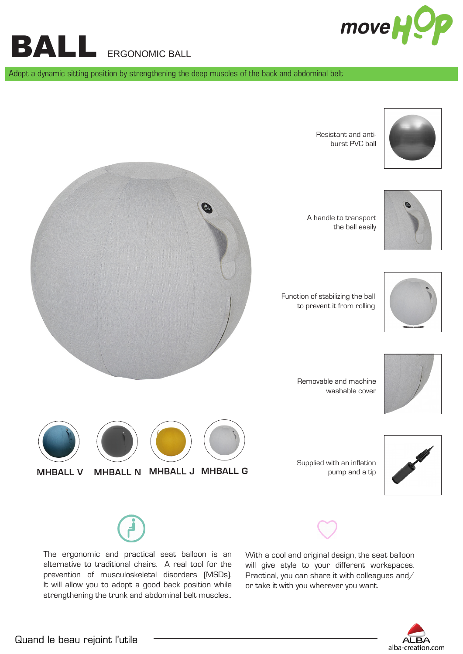

BALL ERGONOMIC BALL

Adopt a dynamic sitting position by strengthening the deep muscles of the back and abdominal belt







 Function of stabilizing the ball to prevent it from rolling



Removable and machine washable cover



Supplied with an inflation MHBALL V MHBALL N MHBALL J MHBALL G **Example 10** pump and a tip





The ergonomic and practical seat balloon is an alternative to traditional chairs. A real tool for the prevention of musculoskeletal disorders (MSDs). It will allow you to adopt a good back position while strengthening the trunk and abdominal belt muscles..

With a cool and original design, the seat balloon will give style to your different workspaces. Practical, you can share it with colleagues and/ or take it with you wherever you want.